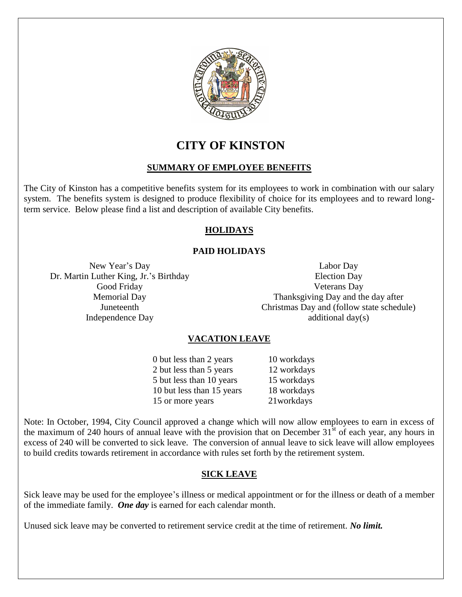

**CITY OF KINSTON**

# **SUMMARY OF EMPLOYEE BENEFITS**

The City of Kinston has a competitive benefits system for its employees to work in combination with our salary system. The benefits system is designed to produce flexibility of choice for its employees and to reward longterm service. Below please find a list and description of available City benefits.

# **HOLIDAYS**

# **PAID HOLIDAYS**

New Year's Day Dr. Martin Luther King, Jr.'s Birthday Good Friday Memorial Day Juneteenth Independence Day

Labor Day Election Day Veterans Day Thanksgiving Day and the day after Christmas Day and (follow state schedule) additional day(s)

# **VACATION LEAVE**

0 but less than 2 years 10 workdays 2 but less than 5 years 12 workdays 5 but less than 10 years 15 workdays 10 but less than 15 years 18 workdays 15 or more years 21 workdays

Note: In October, 1994, City Council approved a change which will now allow employees to earn in excess of the maximum of 240 hours of annual leave with the provision that on December  $31<sup>st</sup>$  of each year, any hours in excess of 240 will be converted to sick leave. The conversion of annual leave to sick leave will allow employees to build credits towards retirement in accordance with rules set forth by the retirement system.

#### **SICK LEAVE**

Sick leave may be used for the employee's illness or medical appointment or for the illness or death of a member of the immediate family. *One day* is earned for each calendar month.

Unused sick leave may be converted to retirement service credit at the time of retirement. *No limit.*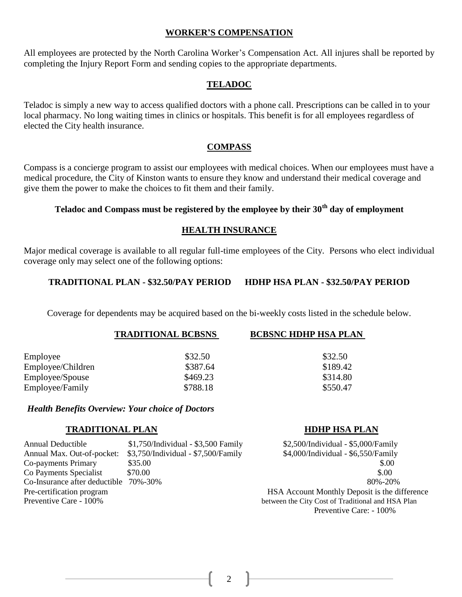#### **WORKER'S COMPENSATION**

All employees are protected by the North Carolina Worker's Compensation Act. All injures shall be reported by completing the Injury Report Form and sending copies to the appropriate departments.

#### **TELADOC**

Teladoc is simply a new way to access qualified doctors with a phone call. Prescriptions can be called in to your local pharmacy. No long waiting times in clinics or hospitals. This benefit is for all employees regardless of elected the City health insurance.

#### **COMPASS**

Compass is a concierge program to assist our employees with medical choices. When our employees must have a medical procedure, the City of Kinston wants to ensure they know and understand their medical coverage and give them the power to make the choices to fit them and their family.

# **Teladoc and Compass must be registered by the employee by their 30th day of employment**

#### **HEALTH INSURANCE**

Major medical coverage is available to all regular full-time employees of the City. Persons who elect individual coverage only may select one of the following options:

#### **TRADITIONAL PLAN - \$32.50/PAY PERIOD HDHP HSA PLAN - \$32.50/PAY PERIOD**

Coverage for dependents may be acquired based on the bi-weekly costs listed in the schedule below.

| <b>TRADITIONAL BCBSNS</b> | <b>BCBSNC HDHP HSA PLAN</b> |
|---------------------------|-----------------------------|
| \$32.50                   | \$32.50                     |
| \$387.64                  | \$189.42                    |
| \$469.23                  | \$314.80                    |
| \$788.18                  | \$550.47                    |
|                           |                             |

#### *Health Benefits Overview: Your choice of Doctors*

#### **TRADITIONAL PLAN HDHP HSA PLAN**

Annual Deductible  $$1,750/Individual - $3,500$  Family  $$2,500/Individual - $5,000/Family$ Annual Max. Out-of-pocket: \$3,750/Individual - \$7,500/Family \$4,000/Individual - \$6,550/Family Co-payments Primary  $$35.00$  \$.00 Co Payments Specialist \$70.00 \$.00 Co-Insurance after deductible 70%-30% 80%-20% Pre-certification program HSA Account Monthly Deposit is the difference Preventive Care - 100% between the City Cost of Traditional and HSA Plan Preventive Care: - 100%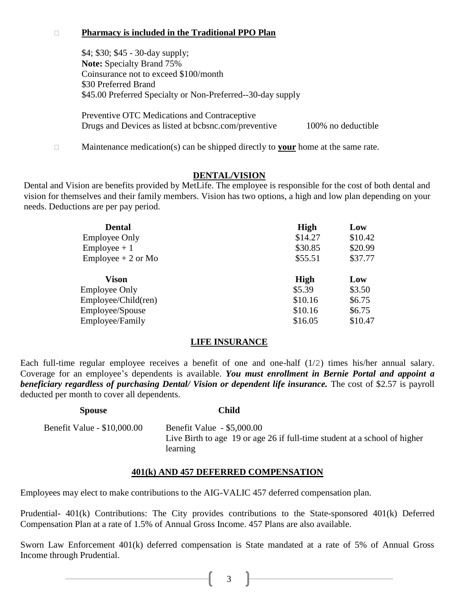### **Pharmacy is included in the Traditional PPO Plan**

\$4; \$30; \$45 - 30-day supply; **Note:** Specialty Brand 75% Coinsurance not to exceed \$100/month \$30 Preferred Brand \$45.00 Preferred Specialty or Non-Preferred--30-day supply

Preventive OTC Medications and Contraceptive Drugs and Devices as listed at bcbsnc.com/preventive 100% no deductible

□ Maintenance medication(s) can be shipped directly to **your** home at the same rate.

#### **DENTAL/VISION**

Dental and Vision are benefits provided by MetLife. The employee is responsible for the cost of both dental and vision for themselves and their family members. Vision has two options, a high and low plan depending on your needs. Deductions are per pay period.

| <b>Dental</b>        | <b>High</b> | Low     |
|----------------------|-------------|---------|
| <b>Employee Only</b> | \$14.27     | \$10.42 |
| $Employee + 1$       | \$30.85     | \$20.99 |
| $Employee + 2$ or Mo | \$55.51     | \$37.77 |
| Vison                | <b>High</b> | Low     |
| <b>Employee Only</b> | \$5.39      | \$3.50  |
| Employee/Child(ren)  | \$10.16     | \$6.75  |
| Employee/Spouse      | \$10.16     | \$6.75  |
|                      |             |         |

#### **LIFE INSURANCE**

Each full-time regular employee receives a benefit of one and one-half (1/2) times his/her annual salary. Coverage for an employee's dependents is available. *You must enrollment in Bernie Portal and appoint a beneficiary regardless of purchasing Dental/ Vision or dependent life insurance.* The cost of \$2.57 is payroll deducted per month to cover all dependents.

| <b>Spouse</b>               | Child                                                                                                               |
|-----------------------------|---------------------------------------------------------------------------------------------------------------------|
| Benefit Value - \$10,000.00 | Benefit Value - \$5,000.00<br>Live Birth to age 19 or age 26 if full-time student at a school of higher<br>learning |

#### **401(k) AND 457 DEFERRED COMPENSATION**

Employees may elect to make contributions to the AIG-VALIC 457 deferred compensation plan.

Prudential- 401(k) Contributions: The City provides contributions to the State-sponsored 401(k) Deferred Compensation Plan at a rate of 1.5% of Annual Gross Income. 457 Plans are also available.

Sworn Law Enforcement 401(k) deferred compensation is State mandated at a rate of 5% of Annual Gross Income through Prudential.

 $\begin{array}{ccc} \text{1} & 3 \\ \end{array}$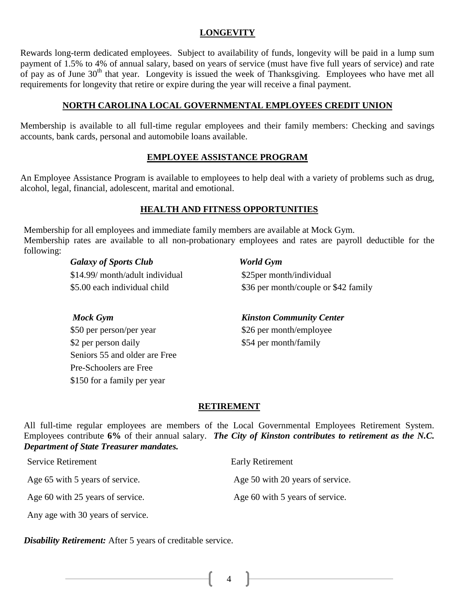### **LONGEVITY**

Rewards long-term dedicated employees. Subject to availability of funds, longevity will be paid in a lump sum payment of 1.5% to 4% of annual salary, based on years of service (must have five full years of service) and rate of pay as of June  $30<sup>th</sup>$  that year. Longevity is issued the week of Thanksgiving. Employees who have met all requirements for longevity that retire or expire during the year will receive a final payment.

# **NORTH CAROLINA LOCAL GOVERNMENTAL EMPLOYEES CREDIT UNION**

Membership is available to all full-time regular employees and their family members: Checking and savings accounts, bank cards, personal and automobile loans available.

# **EMPLOYEE ASSISTANCE PROGRAM**

An Employee Assistance Program is available to employees to help deal with a variety of problems such as drug, alcohol, legal, financial, adolescent, marital and emotional.

#### **HEALTH AND FITNESS OPPORTUNITIES**

Membership for all employees and immediate family members are available at Mock Gym. Membership rates are available to all non-probationary employees and rates are payroll deductible for the following:

> *Galaxy of Sports Club World Gym* \$14.99/ month/adult individual \$5.00 each individual child

 \$25per month/individual \$36 per month/couple or \$42 family

*Mock Gym* \$50 per person/per year \$2 per person daily Seniors 55 and older are Free Pre-Schoolers are Free \$150 for a family per year

 *Kinston Community Center* \$26 per month/employee \$54 per month/family

#### **RETIREMENT**

All full-time regular employees are members of the Local Governmental Employees Retirement System. Employees contribute **6%** of their annual salary. *The City of Kinston contributes to retirement as the N.C. Department of State Treasurer mandates.*

| <b>Service Retirement</b>        | <b>Early Retirement</b>          |
|----------------------------------|----------------------------------|
| Age 65 with 5 years of service.  | Age 50 with 20 years of service. |
| Age 60 with 25 years of service. | Age 60 with 5 years of service.  |

*Disability Retirement:* After 5 years of creditable service.

Any age with 30 years of service.

4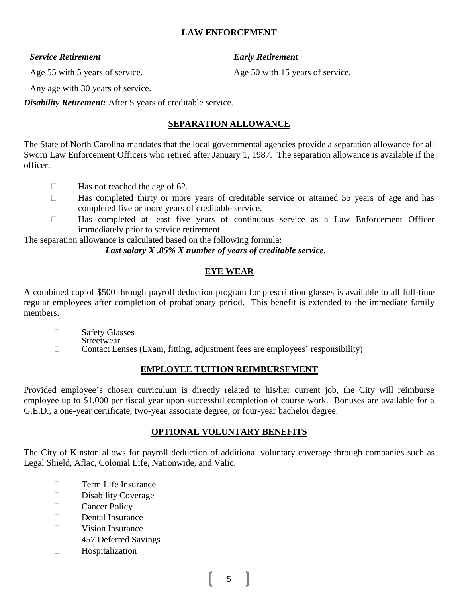# **LAW ENFORCEMENT**

#### *Service Retirement Early Retirement*

Age 55 with 5 years of service. Age 50 with 15 years of service.

Any age with 30 years of service.

*Disability Retirement:* After 5 years of creditable service.

# **SEPARATION ALLOWANCE**

The State of North Carolina mandates that the local governmental agencies provide a separation allowance for all Sworn Law Enforcement Officers who retired after January 1, 1987. The separation allowance is available if the officer:

- $\Box$  Has not reached the age of 62.
- $\Box$  Has completed thirty or more years of creditable service or attained 55 years of age and has completed five or more years of creditable service.
- Has completed at least five years of continuous service as a Law Enforcement Officer immediately prior to service retirement.

The separation allowance is calculated based on the following formula:

*Last salary X .85% X number of years of creditable service.*

# **EYE WEAR**

A combined cap of \$500 through payroll deduction program for prescription glasses is available to all full-time regular employees after completion of probationary period. This benefit is extended to the immediate family members.

- □ Safety Glasses
- $\Box$  Streetwear
- Contact Lenses (Exam, fitting, adjustment fees are employees' responsibility)

# **EMPLOYEE TUITION REIMBURSEMENT**

Provided employee's chosen curriculum is directly related to his/her current job, the City will reimburse employee up to \$1,000 per fiscal year upon successful completion of course work. Bonuses are available for a G.E.D., a one-year certificate, two-year associate degree, or four-year bachelor degree.

# **OPTIONAL VOLUNTARY BENEFITS**

The City of Kinston allows for payroll deduction of additional voluntary coverage through companies such as Legal Shield, Aflac, Colonial Life, Nationwide, and Valic.

- **Term Life Insurance**
- Disability Coverage
- **Cancer Policy**
- $\Box$  Dental Insurance
- $\neg$  Vision Insurance
- □ 457 Deferred Savings
- Hospitalization